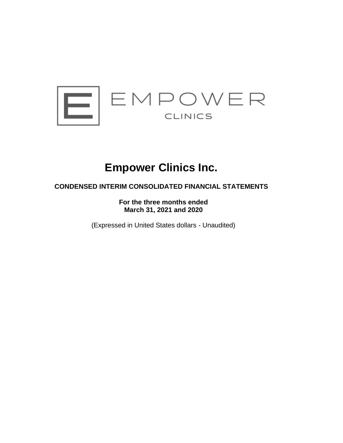

# **Empower Clinics Inc.**

# **CONDENSED INTERIM CONSOLIDATED FINANCIAL STATEMENTS**

**For the three months ended March 31, 2021 and 2020**

(Expressed in United States dollars - Unaudited)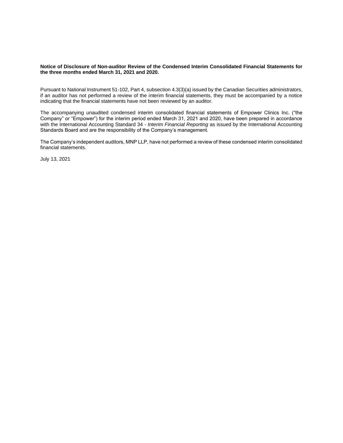#### **Notice of Disclosure of Non-auditor Review of the Condensed Interim Consolidated Financial Statements for the three months ended March 31, 2021 and 2020.**

Pursuant to National Instrument 51-102, Part 4, subsection 4.3(3)(a) issued by the Canadian Securities administrators, if an auditor has not performed a review of the interim financial statements, they must be accompanied by a notice indicating that the financial statements have not been reviewed by an auditor.

The accompanying unaudited condensed interim consolidated financial statements of Empower Clinics Inc. ("the Company" or "Empower") for the interim period ended March 31, 2021 and 2020, have been prepared in accordance with the International Accounting Standard 34 - *Interim Financial Reporting* as issued by the International Accounting Standards Board and are the responsibility of the Company's management.

The Company's independent auditors, MNP LLP, have not performed a review of these condensed interim consolidated financial statements.

July 13, 2021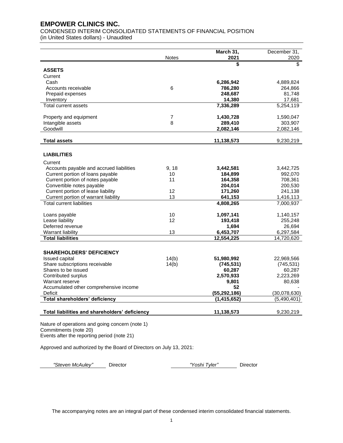CONDENSED INTERIM CONSOLIDATED STATEMENTS OF FINANCIAL POSITION (in United States dollars) - Unaudited

|                                                                            |                | March 31,          | December 31,         |
|----------------------------------------------------------------------------|----------------|--------------------|----------------------|
|                                                                            | <b>Notes</b>   | 2021               | 2020<br>\$           |
| <b>ASSETS</b>                                                              |                | \$                 |                      |
| Current                                                                    |                |                    |                      |
| Cash                                                                       |                | 6,286,942          | 4,889,824            |
| Accounts receivable                                                        | 6              | 786,280            | 264,866              |
| Prepaid expenses                                                           |                | 248,687            | 81,748               |
| Inventory                                                                  |                | 14,380             | 17,681               |
| Total current assets                                                       |                | 7,336,289          | 5,254,119            |
|                                                                            |                |                    |                      |
| Property and equipment                                                     | $\overline{7}$ | 1,430,728          | 1,590,047            |
| Intangible assets                                                          | 8              | 289,410            | 303,907              |
| Goodwill                                                                   |                | 2,082,146          | 2,082,146            |
| <b>Total assets</b>                                                        |                | 11,138,573         | 9,230,219            |
|                                                                            |                |                    |                      |
| <b>LIABILITIES</b>                                                         |                |                    |                      |
| Current                                                                    |                |                    |                      |
| Accounts payable and accrued liabilities                                   | 9, 18          | 3,442,581          | 3,442,725            |
| Current portion of loans payable                                           | 10             | 184,899            | 992,070              |
| Current portion of notes payable                                           | 11             | 164,358            | 708,361              |
| Convertible notes payable                                                  |                | 204,014            | 200,530              |
| Current portion of lease liability<br>Current portion of warrant liability | 12<br>13       | 171,260<br>641,153 | 241,138<br>1,416,113 |
| <b>Total current liabilities</b>                                           |                | 4,808,265          | 7,000,937            |
|                                                                            |                |                    |                      |
| Loans payable                                                              | 10             | 1,097,141          | 1,140,157            |
| Lease liability                                                            | 12             | 193,418            | 255,248              |
| Deferred revenue                                                           |                | 1,694              | 26,694               |
| Warrant liability                                                          | 13             | 6,453,707          | 6,297,584            |
| <b>Total liabilities</b>                                                   |                | 12,554,225         | 14,720,620           |
|                                                                            |                |                    |                      |
| <b>SHAREHOLDERS' DEFICIENCY</b>                                            |                |                    |                      |
| Issued capital                                                             | 14(b)          | 51,980,992         | 22,969,566           |
| Share subscriptions receivable                                             | 14(b)          | (745, 531)         | (745, 531)           |
| Shares to be issued                                                        |                | 60,287             | 60,287               |
| Contributed surplus<br>Warrant reserve                                     |                | 2,570,933<br>9,801 | 2,223,269<br>80,638  |
| Accumulated other comprehensive income                                     |                | 52                 |                      |
| Deficit                                                                    |                | (55, 292, 186)     | (30,078,630)         |
| Total shareholders' deficiency                                             |                | (1, 415, 652)      | (5,490,401)          |
|                                                                            |                |                    |                      |
| Total liabilities and shareholders' deficiency                             |                | 11,138,573         | 9,230,219            |
|                                                                            |                |                    |                      |

Nature of operations and going concern (note 1) Commitments (note 20) Events after the reporting period (note 21)

Approved and authorized by the Board of Directors on July 13, 2021:

*"Steven McAuley"* Director *"Yoshi Tyler"* Director

The accompanying notes are an integral part of these condensed interim consolidated financial statements.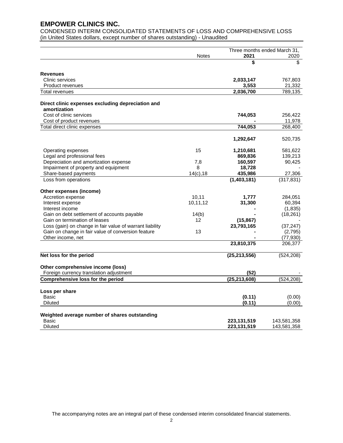CONDENSED INTERIM CONSOLIDATED STATEMENTS OF LOSS AND COMPREHENSIVE LOSS (in United States dollars, except number of shares outstanding) - Unaudited

|                                                                              |                            | Three months ended March 31, |             |  |
|------------------------------------------------------------------------------|----------------------------|------------------------------|-------------|--|
|                                                                              | <b>Notes</b>               | 2021                         | 2020        |  |
|                                                                              |                            | \$                           | \$          |  |
|                                                                              |                            |                              |             |  |
| <b>Revenues</b>                                                              |                            |                              |             |  |
| Clinic services                                                              |                            | 2,033,147                    | 767,803     |  |
| <b>Product revenues</b>                                                      |                            | 3,553                        | 21,332      |  |
| <b>Total revenues</b>                                                        |                            | 2.036.700                    | 789.135     |  |
|                                                                              |                            |                              |             |  |
| Direct clinic expenses excluding depreciation and                            |                            |                              |             |  |
| amortization                                                                 |                            |                              |             |  |
| Cost of clinic services                                                      |                            | 744,053                      | 256,422     |  |
| Cost of product revenues                                                     |                            |                              | 11,978      |  |
| Total direct clinic expenses                                                 |                            | 744,053                      | 268,400     |  |
|                                                                              |                            | 1,292,647                    | 520,735     |  |
|                                                                              |                            |                              |             |  |
| Operating expenses                                                           | 15                         | 1,210,681                    | 581,622     |  |
| Legal and professional fees                                                  |                            | 869,836                      | 139,213     |  |
| Depreciation and amortization expense                                        | 7,8                        | 160,597                      | 90,425      |  |
| Impairment of property and equipment                                         | 8                          | 18,728                       |             |  |
| Share-based payments                                                         | 14(c), 18                  | 435,986                      | 27,306      |  |
| Loss from operations                                                         |                            | (1,403,181)                  | (317, 831)  |  |
| Other expenses (income)                                                      |                            |                              |             |  |
| Accretion expense                                                            | 10,11                      | 1,777                        | 284,051     |  |
| Interest expense                                                             | 10,11,12                   | 31,300                       | 60,394      |  |
| Interest income                                                              |                            |                              | (1, 835)    |  |
| Gain on debt settlement of accounts payable                                  |                            |                              | (18, 261)   |  |
| Gain on termination of leases                                                | 14(b)<br>$12 \overline{ }$ |                              |             |  |
|                                                                              |                            | (15, 867)                    |             |  |
| Loss (gain) on change in fair value of warrant liability                     |                            | 23,793,165                   | (37, 247)   |  |
| Gain on change in fair value of conversion feature                           | 13                         |                              | (2,795)     |  |
| Other income, net                                                            |                            |                              | (77, 930)   |  |
|                                                                              |                            | 23,810,375                   | 206,377     |  |
| Net loss for the period                                                      |                            | (25, 213, 556)               | (524, 208)  |  |
|                                                                              |                            |                              |             |  |
| Other comprehensive income (loss)<br>Foreign currency translation adjustment |                            |                              |             |  |
| Comprehensive loss for the period                                            |                            | (52)<br>(25, 213, 608)       | (524, 208)  |  |
|                                                                              |                            |                              |             |  |
| Loss per share                                                               |                            |                              |             |  |
| Basic                                                                        |                            | (0.11)                       | (0.00)      |  |
| Diluted                                                                      |                            | (0.11)                       | (0.00)      |  |
| Weighted average number of shares outstanding                                |                            |                              |             |  |
| <b>Basic</b>                                                                 |                            | 223,131,519                  | 143,581,358 |  |
| <b>Diluted</b>                                                               |                            | 223, 131, 519                | 143,581,358 |  |

The accompanying notes are an integral part of these condensed interim consolidated financial statements.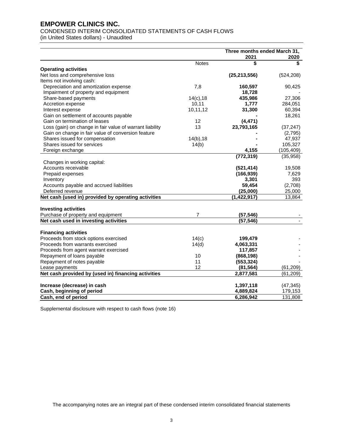# CONDENSED INTERIM CONSOLIDATED STATEMENTS OF CASH FLOWS

(in United States dollars) - Unaudited

|                                                                | Three months ended March 31, |            |
|----------------------------------------------------------------|------------------------------|------------|
|                                                                | 2021                         | 2020       |
| <b>Notes</b>                                                   | \$                           | \$         |
| <b>Operating activities</b>                                    |                              |            |
| Net loss and comprehensive loss                                | (25, 213, 556)               | (524, 208) |
| Items not involving cash:                                      |                              |            |
| Depreciation and amortization expense<br>7,8                   | 160,597                      | 90,425     |
| Impairment of property and equipment                           | 18,728                       |            |
| Share-based payments<br>$14(c)$ , 18                           | 435,986                      | 27,306     |
| Accretion expense<br>10, 11                                    | 1,777                        | 284,051    |
| 10,11,12<br>Interest expense                                   | 31,300                       | 60,394     |
| Gain on settlement of accounts payable                         |                              | 18,261     |
| Gain on termination of leases<br>12                            | (4, 471)                     |            |
| 13<br>Loss (gain) on change in fair value of warrant liability | 23,793,165                   | (37, 247)  |
| Gain on change in fair value of conversion feature             |                              | (2,795)    |
| Shares issued for compensation<br>$14(b)$ , 18                 |                              | 47,937     |
| Shares issued for services<br>14(b)                            |                              | 105,327    |
| Foreign exchange                                               | 4,155                        | (105, 409) |
|                                                                | (772, 319)                   | (35, 958)  |
| Changes in working capital:                                    |                              |            |
| Accounts receivable                                            | (521, 414)                   | 19,508     |
| Prepaid expenses                                               | (166, 939)                   | 7,629      |
| Inventory                                                      | 3,301                        | 393        |
| Accounts payable and accrued liabilities                       | 59,454                       | (2,708)    |
| Deferred revenue                                               | (25,000)                     | 25,000     |
| Net cash (used in) provided by operating activities            | (1,422,917)                  | 13,864     |
|                                                                |                              |            |
| <b>Investing activities</b>                                    |                              |            |
| 7<br>Purchase of property and equipment                        | (57, 546)                    |            |
| Net cash used in investing activities                          | (57, 546)                    |            |
|                                                                |                              |            |
| <b>Financing activities</b>                                    |                              |            |
| Proceeds from stock options exercised<br>14(c)                 | 199,479                      |            |
| Proceeds from warrants exercised<br>14(d)                      | 4,063,331                    |            |
| Proceeds from agent warrant exercised                          | 117,857                      |            |
| Repayment of loans payable<br>10                               | (868, 198)                   |            |
| 11<br>Repayment of notes payable                               | (553, 324)                   |            |
| 12<br>Lease payments                                           | (81, 564)                    | (61, 209)  |
| Net cash provided by (used in) financing activities            | 2,877,581                    | (61, 209)  |
| Increase (decrease) in cash                                    | 1,397,118                    | (47, 345)  |
| Cash, beginning of period                                      | 4,889,824                    | 179,153    |
| Cash, end of period                                            | 6,286,942                    | 131.808    |

Supplemental disclosure with respect to cash flows (note 16)

The accompanying notes are an integral part of these condensed interim consolidated financial statements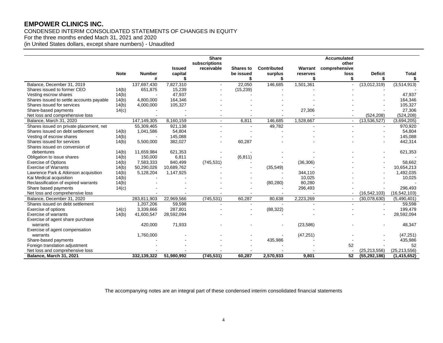# CONDENSED INTERIM CONSOLIDATED STATEMENTS OF CHANGES IN EQUITY For the three months ended Mach 31, 2021 and 2020 (in United States dollars, except share numbers) - Unaudited

|                                          |             |                    |               | <b>Share</b>  |                |             |           | <b>Accumulated</b> |                      |                    |
|------------------------------------------|-------------|--------------------|---------------|---------------|----------------|-------------|-----------|--------------------|----------------------|--------------------|
|                                          |             |                    |               | subscriptions |                |             |           | other              |                      |                    |
|                                          |             |                    | Issued        | receivable    | Shares to      | Contributed | Warrant   | comprehensive      |                      |                    |
|                                          | <b>Note</b> | <b>Number</b><br># | capital<br>\$ |               | be issued      | surplus     | reserves  | loss<br>\$         | <b>Deficit</b><br>\$ | <b>Total</b><br>\$ |
| Balance, December 31, 2019               |             | 137,697,430        | 7,827,310     |               | 22,050         | 146,685     | 1,501,361 | ÷.                 | (13,012,319)         | (3,514,913)        |
| Shares issued to former CEO              | 14(b)       | 651,875            | 15,239        |               | (15, 239)      |             |           |                    |                      |                    |
| Vesting escrow shares                    | 14(b)       |                    | 47,937        |               |                |             |           |                    |                      | 47,937             |
| Shares issued to settle accounts payable | 14(b)       | 4,800,000          | 164,346       |               |                |             |           |                    |                      | 164,346            |
| Shares issued for services               | 14(b)       | 4,000,000          | 105,327       |               |                |             |           |                    |                      | 105,327            |
| Share-based payments                     | 14(c)       |                    |               |               |                |             | 27,306    |                    |                      | 27,306             |
| Net loss and comprehensive loss          |             |                    |               |               |                |             |           |                    | (524, 208)           | (524, 208)         |
| Balance, March 31, 2020                  |             | 147,149,305        | 8,160,159     |               | 6,811          | 146,685     | 1,528,667 | $\blacksquare$     | (13,536,527)         | (3,694,205)        |
| Shares issued on private placement, net  |             | 55,309,465         | 921,138       |               | $\overline{a}$ | 49,782      |           |                    | $\sim$               | 970,920            |
| Shares issued on debt settlement         | 14(b)       | 1,041,586          | 54,804        |               |                |             |           |                    |                      | 54,804             |
| Vesting of escrow shares                 | 14(b)       |                    | 145,088       |               |                |             |           |                    |                      | 145,088            |
| Shares issued for services               | 14(b)       | 5,500,000          | 382,027       |               | 60,287         |             |           |                    |                      | 442,314            |
| Shares issued on conversion of           |             |                    |               |               |                |             |           |                    |                      |                    |
| debentures                               | 14(b)       | 11,659,984         | 621,353       |               |                |             |           |                    |                      | 621,353            |
| Obligation to issue shares               | 14(b)       | 150,000            | 6,811         |               | (6, 811)       |             |           |                    |                      |                    |
| <b>Exercise of Options</b>               | 14(b)       | 7,583,333          | 840,499       | (745, 531)    |                |             | (36, 306) |                    |                      | 58,662             |
| <b>Exercise of Warrants</b>              | 14(b)       | 50,290,026         | 10,689,762    |               |                | (35, 549)   |           |                    |                      | 10,654,213         |
| Lawrence Park & Atkinson acquisition     | 14(b)       | 5,128,204          | 1,147,925     |               |                |             | 344,110   |                    |                      | 1,492,035          |
| Kai Medical acquisition                  | 14(b)       |                    |               |               |                |             | 10,025    |                    |                      | 10,025             |
| Reclassification of expired warrants     | 14(b)       |                    |               |               |                | (80, 280)   | 80,280    |                    |                      |                    |
| Share based payments                     | 14(c)       |                    |               |               |                |             | 296,493   |                    |                      | 296,493            |
| Net loss and comprehensive loss          |             |                    |               |               |                |             |           |                    | (16, 542, 103)       | (16, 542, 103)     |
| Balance, December 31, 2020               |             | 283,811,903        | 22,969,566    | (745, 531)    | 60,287         | 80,638      | 2,223,269 |                    | (30,078,630)         | (5,490,401)        |
| Shares issued on debt settlement         |             | 1,207,206          | 59,598        |               |                |             |           |                    |                      | 59,598             |
| Exercise of options                      | 14(c)       | 3,339,666          | 287,801       |               |                | (88, 322)   |           |                    |                      | 199,479            |
| <b>Exercise of warrants</b>              | 14(b)       | 41,600,547         | 28,592,094    |               |                |             |           |                    |                      | 28,592,094         |
| Exercise of agent share purchase         |             |                    |               |               |                |             |           |                    |                      |                    |
| warrants                                 |             | 420,000            | 71,933        |               |                |             | (23, 586) |                    |                      | 48,347             |
| Exercise of agent compensation           |             |                    |               |               |                |             |           |                    |                      |                    |
| warrants                                 |             | 1,760,000          |               |               |                |             | (47, 251) |                    |                      | (47, 251)          |
| Share-based payments                     |             |                    |               |               |                | 435,986     |           |                    |                      | 435,986            |
| Foreign translation adjustment           |             |                    |               |               |                |             |           | 52                 |                      | 52                 |
| Net loss and comprehensive loss          |             |                    |               |               |                |             |           |                    | (25, 213, 556)       | (25.213.556)       |
| Balance, March 31, 2021                  |             | 332,139,322        | 51,980,992    | (745, 531)    | 60,287         | 2,570,933   | 9,801     | 52                 | (55, 292, 186)       | (1, 415, 652)      |

The accompanying notes are an integral part of these condensed interim consolidated financial statements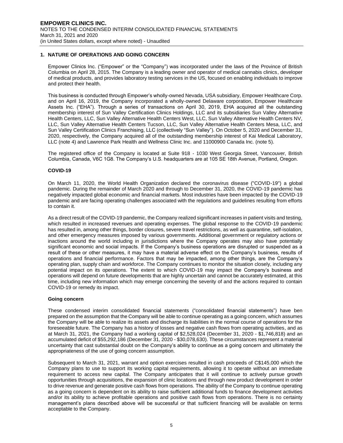# **1. NATURE OF OPERATIONS AND GOING CONCERN**

Empower Clinics Inc. ("Empower" or the "Company") was incorporated under the laws of the Province of British Columbia on April 28, 2015. The Company is a leading owner and operator of medical cannabis clinics, developer of medical products, and provides laboratory testing services in the US, focused on enabling individuals to improve and protect their health.

This business is conducted through Empower's wholly-owned Nevada, USA subsidiary, Empower Healthcare Corp. and on April 16, 2019, the Company incorporated a wholly-owned Delaware corporation, Empower Healthcare Assets Inc. ("EHA"). Through a series of transactions on April 30, 2019, EHA acquired all the outstanding membership interest of Sun Valley Certification Clinics Holdings, LLC and its subsidiaries Sun Valley Alternative Health Centers, LLC, Sun Valley Alternative Health Centers West, LLC, Sun Valley Alternative Health Centers NV, LLC, Sun Valley Alternative Health Centers Tucson, LLC, Sun Valley Alternative Health Centers Mesa, LLC, and Sun Valley Certification Clinics Franchising, LLC (collectively "Sun Valley"). On October 5, 2020 and December 31, 2020, respectively, the Company acquired all of the outstanding membership interest of Kai Medical Laboratory, LLC (note 4) and Lawrence Park Health and Wellness Clinic Inc. and 11000900 Canada Inc. (note 5).

The registered office of the Company is located at Suite 918 - 1030 West Georgia Street, Vancouver, British Columbia, Canada, V6C 1G8. The Company's U.S. headquarters are at 105 SE 18th Avenue, Portland, Oregon.

#### **COVID-19**

On March 11, 2020, the World Health Organization declared the coronavirus disease ("COVID-19") a global pandemic. During the remainder of March 2020 and through to December 31, 2020, the COVID-19 pandemic has negatively impacted global economic and financial markets. Most industries have been impacted by the COVID-19 pandemic and are facing operating challenges associated with the regulations and guidelines resulting from efforts to contain it.

As a direct result of the COVID-19 pandemic, the Company realized significant increases in patient visits and testing, which resulted in increased revenues and operating expenses. The global response to the COVID-19 pandemic has resulted in, among other things, border closures, severe travel restrictions, as well as quarantine, self-isolation, and other emergency measures imposed by various governments. Additional government or regulatory actions or inactions around the world including in jurisdictions where the Company operates may also have potentially significant economic and social impacts. If the Company's business operations are disrupted or suspended as a result of these or other measures, it may have a material adverse effect on the Company's business, results of operations and financial performance. Factors that may be impacted, among other things, are the Company's operating plan, supply chain and workforce. The Company continues to monitor the situation closely, including any potential impact on its operations. The extent to which COVID-19 may impact the Company's business and operations will depend on future developments that are highly uncertain and cannot be accurately estimated, at this time, including new information which may emerge concerning the severity of and the actions required to contain COVID-19 or remedy its impact.

#### **Going concern**

These condensed interim consolidated financial statements ("consolidated financial statements") have ben prepared on the assumption that the Company will be able to continue operating as a going concern, which assumes the Company will be able to realize its assets and discharge its liabilities in the normal course of operations for the foreseeable future. The Company has a history of losses and negative cash flows from operating activities, and as at March 31, 2021, the Company had a working capital of \$2,528,024 (December 31, 2020 - \$1,746,818) and an accumulated deficit of \$55,292,186 (December 31, 2020 - \$30,078,630). These circumstances represent a material uncertainty that cast substantial doubt on the Company's ability to continue as a going concern and ultimately the appropriateness of the use of going concern assumption.

Subsequent to March 31, 2021, warrant and option exercises resulted in cash proceeds of C\$145,000 which the Company plans to use to support its working capital requirements, allowing it to operate without an immediate requirement to access new capital. The Company anticipates that it will continue to actively pursue growth opportunities through acquisitions, the expansion of clinic locations and through new product development in order to drive revenue and generate positive cash flows from operations. The ability of the Company to continue operating as a going concern is dependent on its ability to raise sufficient additional funds to finance development activities and/or its ability to achieve profitable operations and positive cash flows from operations. There is no certainty management's plans described above will be successful or that sufficient financing will be available on terms acceptable to the Company.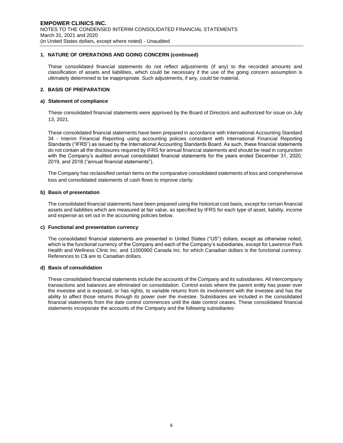# **1. NATURE OF OPERATIONS AND GOING CONCERN (continued)**

These consolidated financial statements do not reflect adjustments (if any) to the recorded amounts and classification of assets and liabilities, which could be necessary if the use of the going concern assumption is ultimately determined to be inappropriate. Such adjustments, if any, could be material.

# **2. BASIS OF PREPARATION**

#### **a) Statement of compliance**

These consolidated financial statements were approved by the Board of Directors and authorized for issue on July 13, 2021.

These consolidated financial statements have been prepared in accordance with International Accounting Standard 34 - Interim Financial Reporting using accounting policies consistent with International Financial Reporting Standards ("IFRS") as issued by the International Accounting Standards Board. As such, these financial statements do not contain all the disclosures required by IFRS for annual financial statements and should be read in conjunction with the Company's audited annual consolidated financial statements for the years ended December 31, 2020, 2019, and 2018 ("annual financial statements").

The Company has reclassified certain items on the comparative consolidated statements of loss and comprehensive loss and consolidated statements of cash flows to improve clarity.

#### **b) Basis of presentation**

The consolidated financial statements have been prepared using the historical cost basis, except for certain financial assets and liabilities which are measured at fair value, as specified by IFRS for each type of asset, liability, income and expense as set out in the accounting policies below.

#### **c) Functional and presentation currency**

The consolidated financial statements are presented in United States ("US") dollars, except as otherwise noted, which is the functional currency of the Company and each of the Company's subsidiaries, except for Lawrence Park Health and Wellness Clinic Inc. and 11000900 Canada Inc. for which Canadian dollars is the functional currency. References to C\$ are to Canadian dollars.

#### **d) Basis of consolidation**

These consolidated financial statements include the accounts of the Company and its subsidiaries. All intercompany transactions and balances are eliminated on consolidation. Control exists where the parent entity has power over the investee and is exposed, or has rights, to variable returns from its involvement with the investee and has the ability to affect those returns through its power over the investee. Subsidiaries are included in the consolidated financial statements from the date control commences until the date control ceases. These consolidated financial statements incorporate the accounts of the Company and the following subsidiaries: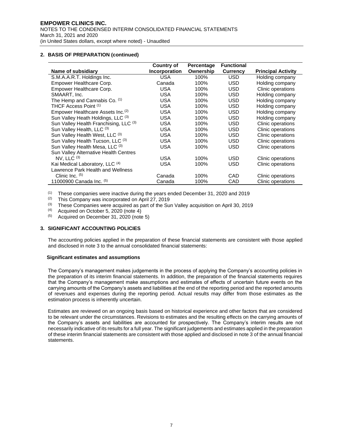# **2. BASIS OF PREPARATION (continued)**

|                                               | <b>Country of</b> | Percentage | <b>Functional</b> |                           |
|-----------------------------------------------|-------------------|------------|-------------------|---------------------------|
| Name of subsidiary                            | Incorporation     | Ownership  | <b>Currency</b>   | <b>Principal Activity</b> |
| S.M.A.A.R.T. Holdings Inc.                    | USA.              | 100%       | <b>USD</b>        | Holding company           |
| Empower Healthcare Corp.                      | Canada            | 100%       | USD               | Holding company           |
| Empower Healthcare Corp.                      | <b>USA</b>        | 100%       | USD               | Clinic operations         |
| SMAART, Inc.                                  | <b>USA</b>        | 100%       | <b>USD</b>        | Holding company           |
| The Hemp and Cannabis Co. (1)                 | <b>USA</b>        | 100%       | <b>USD</b>        | Holding company           |
| THCF Access Point (1)                         | <b>USA</b>        | 100%       | USD               | Holding company           |
| Empower Healthcare Assets Inc. <sup>(2)</sup> | <b>USA</b>        | 100%       | <b>USD</b>        | Holding company           |
| Sun Valley Heath Holdings, LLC (3)            | <b>USA</b>        | 100%       | USD               | Holding company           |
| Sun Valley Health Franchising, LLC (3)        | <b>USA</b>        | 100%       | USD               | Clinic operations         |
| Sun Valley Health, LLC (3)                    | <b>USA</b>        | 100%       | USD               | Clinic operations         |
| Sun Valley Health West, LLC (3)               | <b>USA</b>        | 100%       | <b>USD</b>        | Clinic operations         |
| Sun Valley Health Tucson, LLC (3)             | <b>USA</b>        | 100%       | USD               | Clinic operations         |
| Sun Valley Health Mesa, LLC (3)               | <b>USA</b>        | 100%       | USD               | Clinic operations         |
| Sun Valley Alternative Health Centres         |                   |            |                   |                           |
| $NV.$ LLC $(3)$                               | <b>USA</b>        | 100%       | <b>USD</b>        | Clinic operations         |
| Kai Medical Laboratory, LLC (4)               | <b>USA</b>        | 100%       | USD               | Clinic operations         |
| Lawrence Park Health and Wellness             |                   |            |                   |                           |
| Clinic Inc. $(5)$                             | Canada            | 100%       | CAD               | Clinic operations         |
| 11000900 Canada Inc. (5)                      | Canada            | 100%       | CAD               | Clinic operations         |

(1) These companies were inactive during the years ended December 31, 2020 and 2019

(2) This Company was incorporated on April 27, 2019<br>(3) These Companies were acquired as part of the Su

(3) These Companies were acquired as part of the Sun Valley acquisition on April 30, 2019<br>(4) Acquired on October 5, 2020 (pote 4)

 $(4)$  Acquired on October 5, 2020 (note 4)<br> $(5)$  Acquired on December 31, 2020 (note

Acquired on December 31, 2020 (note 5)

# **3. SIGNIFICANT ACCOUNTING POLICIES**

The accounting policies applied in the preparation of these financial statements are consistent with those applied and disclosed in note 3 to the annual consolidated financial statements:

#### **Significant estimates and assumptions**

The Company's management makes judgements in the process of applying the Company's accounting policies in the preparation of its interim financial statements. In addition, the preparation of the financial statements requires that the Company's management make assumptions and estimates of effects of uncertain future events on the carrying amounts of the Company's assets and liabilities at the end of the reporting period and the reported amounts of revenues and expenses during the reporting period. Actual results may differ from those estimates as the estimation process is inherently uncertain.

Estimates are reviewed on an ongoing basis based on historical experience and other factors that are considered to be relevant under the circumstances. Revisions to estimates and the resulting effects on the carrying amounts of the Company's assets and liabilities are accounted for prospectively. The Company's interim results are not necessarily indicative of its results for a full year. The significant judgements and estimates applied in the preparation of these interim financial statements are consistent with those applied and disclosed in note 3 of the annual financial statements.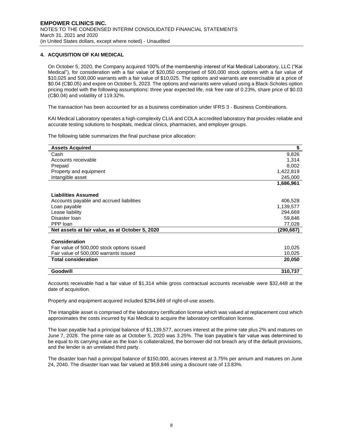# **4. ACQUISITION OF KAI MEDICAL**

On October 5, 2020, the Company acquired 100% of the membership interest of Kai Medical Laboratory, LLC ("Kai Medical"), for consideration with a fair value of \$20,050 comprised of 500,000 stock options with a fair value of \$10,025 and 500,000 warrants with a fair value of \$10,025. The options and warrants are exercisable at a price of \$0.04 (C\$0.05) and expire on October 5, 2023. The options and warrants were valued using a Black-Scholes option pricing model with the following assumptions: three year expected life, risk free rate of 0.23%, share price of \$0.03 (C\$0.04) and volatility of 119.32%.

The transaction has been accounted for as a business combination under IFRS 3 - Business Combinations.

KAI Medical Laboratory operates a high-complexity CLIA and COLA accredited laboratory that provides reliable and accurate testing solutions to hospitals, medical clinics, pharmacies, and employer groups.

The following table summarizes the final purchase price allocation:

| <b>Assets Acquired</b>                          | \$        |
|-------------------------------------------------|-----------|
| Cash                                            | 9,826     |
| Accounts receivable                             | 1,314     |
| Prepaid                                         | 8,002     |
| Property and equipment                          | 1,422,819 |
| Intangible asset                                | 245,000   |
|                                                 | 1,686,961 |
| <b>Liabilities Assumed</b>                      |           |
| Accounts payable and accrued liabilities        | 406,528   |
| Loan payable                                    | 1,139,577 |
| Lease liability                                 | 294,669   |
| Disaster Ioan                                   | 59,846    |
| PPP loan                                        | 77,028    |
| Net assets at fair value, as at October 5, 2020 | (290,687) |
|                                                 |           |
| <b>Consideration</b>                            |           |
| Fair value of 500,000 stock options issued      | 10,025    |
| Fair value of 500,000 warrants issued           | 10,025    |
| <b>Total consideration</b>                      | 20,050    |
| <b>Goodwill</b>                                 | 310,737   |

Accounts receivable had a fair value of \$1,314 while gross contractual accounts receivable were \$32,448 at the date of acquisition.

Property and equipment acquired included \$294,669 of right-of-use assets.

The intangible asset is comprised of the laboratory certification license which was valued at replacement cost which approximates the costs incurred by Kai Medical to acquire the laboratory certification license.

The loan payable had a principal balance of \$1,139,577, accrues interest at the prime rate plus 2% and matures on June 7, 2028. The prime rate as at October 5, 2020 was 3.25%. The loan payable's fair value was determined to be equal to its carrying value as the loan is collateralized, the borrower did not breach any of the default provisions, and the lender is an unrelated third party.

The disaster loan had a principal balance of \$150,000, accrues interest at 3.75% per annum and matures on June 24, 2040. The disaster loan was fair valued at \$59,846 using a discount rate of 13.83%.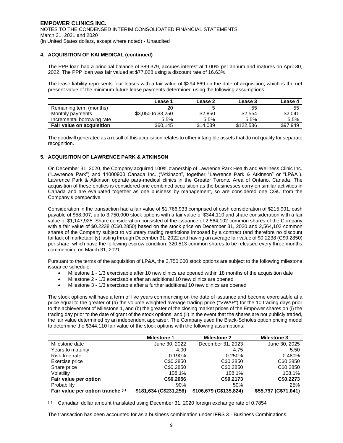# **4. ACQUISITION OF KAI MEDICAL (continued)**

The PPP loan had a principal balance of \$89,379, accrues interest at 1.00% per annum and matures on April 30, 2022. The PPP loan was fair valued at \$77,028 using a discount rate of 16.63%.

The lease liability represents four leases with a fair value of \$294,669 on the date of acquisition, which is the net present value of the minimum future lease payments determined using the following assumptions:

|                            | Lease 1            | Lease 2  | Lease 3   | Lease 4  |
|----------------------------|--------------------|----------|-----------|----------|
| Remaining term (months)    | 20                 |          | 55        | 55       |
| Monthly payments           | \$3,050 to \$3,250 | \$2,850  | \$2,554   | \$2,041  |
| Incremental borrowing rate | 5.5%               | 5.5%     | 5.5%      | 5.5%     |
| Fair value on acquisition  | \$60.145           | \$14,039 | \$122.536 | \$97,949 |

The goodwill generated as a result of this acquisition relates to other intangible assets that do not qualify for separate recognition.

# **5. ACQUISITION OF LAWRENCE PARK & ATKINSON**

On December 31, 2020, the Company acquired 100% ownership of Lawrence Park Health and Wellness Clinic Inc. ("Lawrence Park") and 11000900 Canada Inc. ("Atkinson", together "Lawrence Park & Atkinson" or "LP&A"). Lawrence Park & Atkinson operate para-medical clinics in the Greater Toronto Area of Ontario, Canada. The acquisition of these entities is considered one combined acquisition as the businesses carry on similar activities in Canada and are evaluated together as one business by management, so are considered one CGU from the Company's perspective.

Consideration in the transaction had a fair value of \$1,766,933 comprised of cash consideration of \$215,991, cash payable of \$58,907, up to 3,750,000 stock options with a fair value of \$344,110 and share consideration with a fair value of \$1,147,925. Share consideration consisted of the issuance of 2,564,102 common shares of the Company with a fair value of \$0.2238 (C\$0.2850) based on the stock price on December 31, 2020 and 2,564,102 common shares of the Company subject to voluntary trading restrictions imposed by a contract (and therefore no discount for lack of marketability) lasting through December 31, 2022 and having an average fair value of \$0.2238 (C\$0.2850) per share, which have the following escrow condition: 320,513 common shares to be released every three months commencing on March 31, 2021.

Pursuant to the terms of the acquisition of LP&A, the 3,750,000 stock options are subject to the following milestone issuance schedule:

- Milestone 1 1/3 exercisable after 10 new clinics are opened within 18 months of the acquisition date
- Milestone 2 1/3 exercisable after an additional 10 new clinics are opened
- Milestone 3 1/3 exercisable after a further additional 10 new clinics are opened

The stock options will have a term of five years commencing on the date of issuance and become exercisable at a price equal to the greater of (a) the volume weighted average trading price ("VWAP") for the 10 trading days prior to the achievement of Milestone 1, and (b) the greater of the closing market prices of the Empower shares on (i) the trading day prior to the date of grant of the stock options; and (ii) in the event that the shares are not publicly traded, the fair value determined by an independent appraiser. The Company used the Black-Scholes option pricing model to determine the \$344,110 fair value of the stock options with the following assumptions:

|                                   | <b>Milestone 1</b>     | <b>Milestone 2</b>     | <b>Milestone 3</b>   |
|-----------------------------------|------------------------|------------------------|----------------------|
| Milestone date                    | June 30, 2022          | December 31, 2023      | June 30, 2025        |
| Years to maturity                 | 4.00                   | 4.75                   | 5.50                 |
| Risk-free rate                    | 0.190%                 | 0.250%                 | 0.480%               |
| Exercise price                    | C\$0.2850              | C\$0.2850              | C\$0.2850            |
| Share price                       | C\$0.2850              | C\$0.2850              | C\$0.2850            |
| Volatility                        | 108.1%                 | 108.1%                 | 108.1%               |
| Fair value per option             | C\$0,2056              | C\$0.2173              | C\$0.2273            |
| Probability                       | 90%                    | 50%                    | 25%                  |
| Fair value per option tranche (1) | \$181.634 (C\$231.256) | \$106,679 (C\$135,824) | \$55,797 (C\$71,041) |

 $(1)$  Canadian dollar amount translated using December 31, 2020 foreign exchange rate of 0.7854

The transaction has been accounted for as a business combination under IFRS 3 - Business Combinations.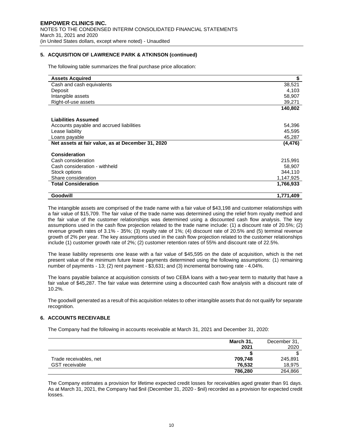# **5. ACQUISITION OF LAWRENCE PARK & ATKINSON (continued)**

The following table summarizes the final purchase price allocation:

| <b>Assets Acquired</b>                            | \$        |
|---------------------------------------------------|-----------|
| Cash and cash equivalents                         | 38,521    |
| Deposit                                           | 4,103     |
| Intangible assets                                 | 58,907    |
| Right-of-use assets                               | 39,271    |
|                                                   | 140,802   |
| <b>Liabilities Assumed</b>                        |           |
|                                                   |           |
| Accounts payable and accrued liabilities          | 54,396    |
| Lease liability                                   | 45,595    |
| Loans payable                                     | 45,287    |
| Net assets at fair value, as at December 31, 2020 | (4, 476)  |
| <b>Consideration</b>                              |           |
| Cash consideration                                | 215,991   |
| Cash consideration - withheld                     | 58,907    |
| Stock options                                     | 344,110   |
| Share consideration                               | 1,147,925 |
| <b>Total Consideration</b>                        | 1,766,933 |
| Goodwill                                          | 1,771,409 |

The intangible assets are comprised of the trade name with a fair value of \$43,198 and customer relationships with a fair value of \$15,709. The fair value of the trade name was determined using the relief from royalty method and the fair value of the customer relationships was determined using a discounted cash flow analysis. The key assumptions used in the cash flow projection related to the trade name include: (1) a discount rate of 20.5%; (2) revenue growth rates of 3.1% - 35%; (3) royalty rate of 1%; (4) discount rate of 20.5% and (5) terminal revenue growth of 2% per year. The key assumptions used in the cash flow projection related to the customer relationships include (1) customer growth rate of 2%; (2) customer retention rates of 55% and discount rate of 22.5%.

The lease liability represents one lease with a fair value of \$45,595 on the date of acquisition, which is the net present value of the minimum future lease payments determined using the following assumptions: (1) remaining number of payments - 13; (2) rent payment - \$3,631; and (3) incremental borrowing rate - 4.04%.

The loans payable balance at acquisition consists of two CEBA loans with a two-year term to maturity that have a fair value of \$45,287. The fair value was determine using a discounted cash flow analysis with a discount rate of 10.2%.

The goodwill generated as a result of this acquisition relates to other intangible assets that do not qualify for separate recognition.

#### **6. ACCOUNTS RECEIVABLE**

The Company had the following in accounts receivable at March 31, 2021 and December 31, 2020:

|                        | March 31, | December 31, |
|------------------------|-----------|--------------|
|                        | 2021      | 2020         |
|                        |           |              |
| Trade receivables, net | 709,748   | 245,891      |
| <b>GST</b> receivable  | 76.532    | 18,975       |
|                        | 786,280   | 264,866      |

The Company estimates a provision for lifetime expected credit losses for receivables aged greater than 91 days. As at March 31, 2021, the Company had \$nil (December 31, 2020 - \$nil) recorded as a provision for expected credit losses.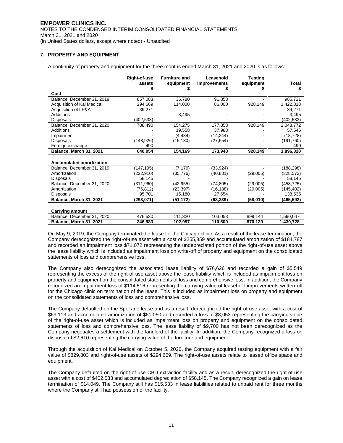# **7. PROPERTY AND EQUIPMENT**

A continuity of property and equipment for the three months ended March 31, 2021 and 2020 is as follows:

|                                 | Right-of-use | <b>Furniture and</b> | Leasehold    | <b>Testing</b> |            |
|---------------------------------|--------------|----------------------|--------------|----------------|------------|
|                                 | assets       | equipment            | improvements | equipment      | Total      |
|                                 |              |                      |              |                |            |
| Cost                            |              |                      |              |                |            |
| Balance, December 31, 2019      | 857,083      | 36,780               | 91,858       |                | 985,721    |
| Acquisition of Kai Medical      | 294,669      | 114,000              | 86,000       | 928,149        | 1,422,818  |
| Acquisition of LP&A             | 39,271       |                      |              |                | 39.271     |
| Additions                       |              | 3,495                |              |                | 3.495      |
| <b>Disposals</b>                | (402,533)    |                      |              |                | (402,533)  |
| Balance, December 31, 2020      | 788,490      | 154,275              | 177,858      | 928,149        | 2,048,772  |
| Additions                       |              | 19.558               | 37.988       |                | 57,546     |
| Impairment                      |              | (4, 484)             | (14, 244)    |                | (18, 728)  |
| <b>Disposals</b>                | (148, 926)   | (15, 180)            | (27, 654)    |                | (191, 760) |
| Foreign exchange                | 490          |                      |              |                | 490        |
| Balance, March 31, 2021         | 640,054      | 154,169              | 173,948      | 928,149        | 1,896,320  |
|                                 |              |                      |              |                |            |
| <b>Accumulated amortization</b> |              |                      |              |                |            |
| Balance, December 31, 2019      | (147,195)    | (7, 179)             | (33, 924)    |                | (188,298)  |
| Amortization                    | (222,910)    | (35, 776)            | (40, 881)    | (29,005)       | (328, 572) |
| <b>Disposals</b>                | 58,145       |                      |              |                | 58,145     |
| Balance, December 31, 2020      | (311,960)    | (42,955)             | (74, 805)    | (29,005)       | (458,725)  |
| Amortization                    | (76, 812)    | (23, 397)            | (16, 188)    | (29,005)       | (145, 402) |
| <b>Disposals</b>                | 95,701       | 15,180               | 27,654       |                | 138,535    |
| Balance, March 31, 2021         | (293.071)    | (51,172)             | (63, 339)    | (58,010)       | (465.592)  |
|                                 |              |                      |              |                |            |
| <b>Carrying amount</b>          |              |                      |              |                |            |
| Balance, December 31, 2020      | 476,530      | 111,320              | 103,053      | 899,144        | 1,590,047  |
| Balance, March 31, 2021         | 346,983      | 102,997              | 110,609      | 870,139        | 1,430,728  |

On May 9, 2019, the Company terminated the lease for the Chicago clinic. As a result of the lease termination, the Company derecognized the right-of-use asset with a cost of \$255,859 and accumulated amortization of \$184,787 and recorded an impairment loss \$71,072 representing the undepreciated portion of the right-of-use asset above the lease liability which is included as impairment loss on write-off of property and equipment on the consolidated statements of loss and comprehensive loss.

The Company also derecognized the associated lease liability of \$76,626 and recorded a gain of \$5,549 representing the excess of the right-of-use asset above the lease liability which is included as impairment loss on property and equipment on the consolidated statements of loss and comprehensive loss. In addition, the Company recognized an impairment loss of \$114,516 representing the carrying value of leasehold improvements written-off for the Chicago clinic on termination of the lease. This is included as impairment loss on property and equipment on the consolidated statements of loss and comprehensive loss.

The Company defaulted on the Spokane lease and as a result, derecognized the right-of-use asset with a cost of \$69,113 and accumulated amortization of \$61,060 and recorded a loss of \$8,053 representing the carrying value of the right-of-use asset which is included as impairment loss on property and equipment on the consolidated statements of loss and comprehensive loss. The lease liability of \$9,700 has not been derecognized as the Company negotiates a settlement with the landlord of the facility. In addition, the Company recognized a loss on disposal of \$2,610 representing the carrying value of the furniture and equipment.

Through the acquisition of Kai Medical on October 5, 2020, the Company acquired testing equipment with a fair value of \$829,803 and right-of-use assets of \$294,669. The right-of-use assets relate to leased office space and equipment.

The Company defaulted on the right-of-use CBD extraction facility and as a result, derecognized the right of use asset with a cost of \$402,533 and accumulated depreciation of \$58,145. The Company recognized a gain on lease termination of \$14,049. The Company still has \$15,533 in lease liabilities related to unpaid rent for three months where the Company still had possession of the facility.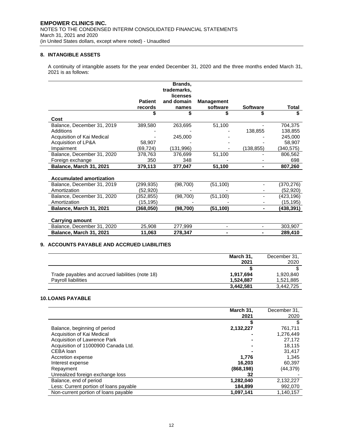## **8. INTANGIBLE ASSETS**

A continuity of intangible assets for the year ended December 31, 2020 and the three months ended March 31, 2021 is as follows:

|                                 |                | Brands,<br>trademarks, |                   |                 |              |
|---------------------------------|----------------|------------------------|-------------------|-----------------|--------------|
|                                 |                | licenses               |                   |                 |              |
|                                 | <b>Patient</b> | and domain             | <b>Management</b> |                 |              |
|                                 | records        | names                  | software          | <b>Software</b> | <b>Total</b> |
|                                 |                |                        |                   |                 |              |
| Cost                            |                |                        |                   |                 |              |
| Balance, December 31, 2019      | 389,580        | 263,695                | 51,100            |                 | 704,375      |
| Additions                       |                |                        |                   | 138,855         | 138,855      |
| Acquisition of Kai Medical      |                | 245,000                |                   |                 | 245,000      |
| Acquisition of LP&A             | 58,907         |                        |                   |                 | 58,907       |
| Impairment                      | (69,724)       | (131, 996)             |                   | (138, 855)      | (340,575)    |
| Balance, December 31, 2020      | 378,763        | 376,699                | 51,100            |                 | 806,562      |
| Foreign exchange                | 350            | 348                    |                   |                 | 698          |
| Balance, March 31, 2021         | 379,113        | 377,047                | 51,100            |                 | 807,260      |
|                                 |                |                        |                   |                 |              |
| <b>Accumulated amortization</b> |                |                        |                   |                 |              |
| Balance, December 31, 2019      | (299, 935)     | (98, 700)              | (51, 100)         |                 | (370, 276)   |
| Amortization                    | (52,920)       |                        |                   |                 | (52,920)     |
| Balance, December 31, 2020      | (352, 855)     | (98, 700)              | (51, 100)         |                 | (423,196)    |
| Amortization                    | (15,195)       |                        |                   |                 | (15,195)     |
| Balance, March 31, 2021         | (368,050)      | (98, 700)              | (51, 100)         | ۰.              | (438,391)    |
|                                 |                |                        |                   |                 |              |
| <b>Carrying amount</b>          |                |                        |                   |                 |              |
| Balance, December 31, 2020      | 25,908         | 277,999                |                   |                 | 303,907      |
| Balance, March 31, 2021         | 11,063         | 278,347                |                   |                 | 289,410      |

# **9. ACCOUNTS PAYABLE AND ACCRUED LIABILITIES**

|                                                  | March 31, | December 31, |
|--------------------------------------------------|-----------|--------------|
|                                                  | 2021      | 2020         |
|                                                  |           |              |
| Trade payables and accrued liabilities (note 18) | 1.917.694 | 1.920.840    |
| <b>Pavroll liabilities</b>                       | 1.524.887 | 1,521,885    |
|                                                  | 3,442,581 | 3.442.725    |

# **10.LOANS PAYABLE**

|                                        | March 31,<br>2021 | December 31,<br>2020 |
|----------------------------------------|-------------------|----------------------|
|                                        |                   |                      |
| Balance, beginning of period           | 2,132,227         | 761,711              |
| Acquisition of Kai Medical             |                   | 1,276,449            |
| Acquisition of Lawrence Park           |                   | 27,172               |
| Acquisition of 11000900 Canada Ltd.    |                   | 18.115               |
| CEBA loan                              |                   | 31,417               |
| Accretion expense                      | 1.776             | 1.345                |
| Interest expense                       | 16.203            | 60.397               |
| Repayment                              | (868, 198)        | (44,379)             |
| Unrealized foreign exchange loss       | 32                |                      |
| Balance, end of period                 | 1,282,040         | 2,132,227            |
| Less: Current portion of loans payable | 184,899           | 992,070              |
| Non-current portion of loans payable   | 1,097,141         | 1.140.157            |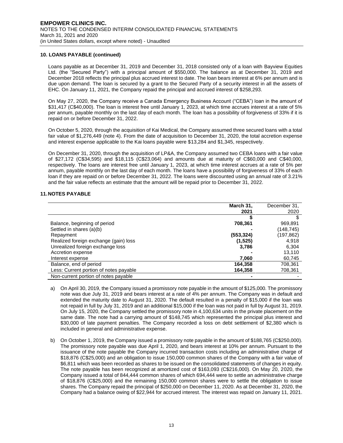# **10. LOANS PAYABLE (continued)**

Loans payable as at December 31, 2019 and December 31, 2018 consisted only of a loan with Bayview Equities Ltd. (the "Secured Party") with a principal amount of \$550,000. The balance as at December 31, 2019 and December 2018 reflects the principal plus accrued interest to date. The loan bears interest at 6% per annum and is due upon demand. The loan is secured by a grant to the Secured Party of a security interest in all the assets of EHC. On January 11, 2021, the Company repaid the principal and accrued interest of \$258,293.

On May 27, 2020, the Company receive a Canada Emergency Business Account ("CEBA") loan in the amount of \$31,417 (C\$40,000). The loan is interest free until January 1, 2023, at which time accrues interest at a rate of 5% per annum, payable monthly on the last day of each month. The loan has a possibility of forgiveness of 33% if it is repaid on or before December 31, 2022.

On October 5, 2020, through the acquisition of Kai Medical, the Company assumed three secured loans with a total fair value of \$1,276,449 (note 4). From the date of acquisition to December 31, 2020, the total accretion expense and interest expense applicable to the Kai loans payable were \$13,284 and \$1,345, respectively.

On December 31, 2020, through the acquisition of LP&A, the Company assumed two CEBA loans with a fair value of \$27,172 (C\$34,595) and \$18,115 (C\$23,064) and amounts due at maturity of C\$60,000 and C\$40,000, respectively. The loans are interest free until January 1, 2023, at which time interest accrues at a rate of 5% per annum, payable monthly on the last day of each month. The loans have a possibility of forgiveness of 33% of each loan if they are repaid on or before December 31, 2022. The loans were discounted using an annual rate of 3.21% and the fair value reflects an estimate that the amount will be repaid prior to December 31, 2022.

# **11.NOTES PAYABLE**

|                                        | March 31,  | December 31, |
|----------------------------------------|------------|--------------|
|                                        | 2021       | 2020         |
|                                        |            |              |
| Balance, beginning of period           | 708,361    | 969,891      |
| Settled in shares (a)(b)               |            | (148,745)    |
| Repayment                              | (553, 324) | (197,862)    |
| Realized foreign exchange (gain) loss  | (1,525)    | 4.918        |
| Unrealized foreign exchange loss       | 3,786      | 6,304        |
| Accretion expense                      |            | 13,110       |
| Interest expense                       | 7,060      | 60,745       |
| Balance, end of period                 | 164,358    | 708,361      |
| Less: Current portion of notes payable | 164,358    | 708,361      |
| Non-current portion of notes payable   |            |              |

- a) On April 30, 2019, the Company issued a promissory note payable in the amount of \$125,000. The promissory note was due July 31, 2019 and bears interest at a rate of 4% per annum. The Company was in default and extended the maturity date to August 31, 2020. The default resulted in a penalty of \$15,000 if the loan was not repaid in full by July 31, 2019 and an additional \$15,000 if the loan was not paid in full by August 31, 2019. On July 15, 2020, the Company settled the promissory note in 4,100,634 units in the private placement on the same date. The note had a carrying amount of \$148,745 which represented the principal plus interest and \$30,000 of late payment penalties. The Company recorded a loss on debt settlement of \$2,380 which is included in general and administrative expense.
- b) On October 1, 2019, the Company issued a promissory note payable in the amount of \$188,765 (C\$250,000). The promissory note payable was due April 1, 2020, and bears interest at 10% per annum. Pursuant to the issuance of the note payable the Company incurred transaction costs including an administrative charge of \$18,876 (C\$25,000) and an obligation to issue 150,000 common shares of the Company with a fair value of \$6,811 which was been recorded as shares to be issued on the consolidated statements of changes in equity. The note payable has been recognized at amortized cost of \$163,093 (C\$216,000). On May 20, 2020, the Company issued a total of 844,444 common shares of which 694,444 were to settle an administrative charge of \$18,876 (C\$25,000) and the remaining 150,000 common shares were to settle the obligation to issue shares. The Company repaid the principal of \$250,000 on December 11, 2020. As at December 31, 2020, the Company had a balance owing of \$22,944 for accrued interest. The interest was repaid on January 11, 2021.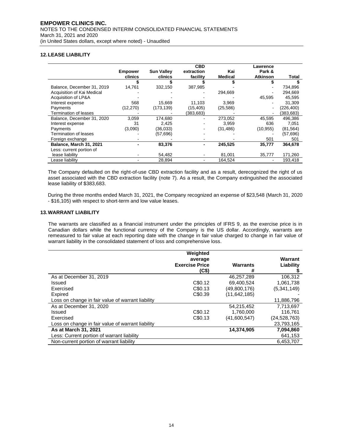# **12.LEASE LIABILITY**

|                            |                |                   | <b>CBD</b> |                | Lawrence        |            |
|----------------------------|----------------|-------------------|------------|----------------|-----------------|------------|
|                            | <b>Empower</b> | <b>Sun Valley</b> | extraction | Kai            | Park &          |            |
|                            | clinics        | clinics           | facility   | <b>Medical</b> | <b>Atkinson</b> | Total      |
|                            |                |                   |            |                |                 |            |
| Balance, December 31, 2019 | 14,761         | 332,150           | 387,985    |                |                 | 734,896    |
| Acquisition of Kai Medical |                |                   |            | 294,669        |                 | 294,669    |
| Acquisition of LP&A        |                |                   |            |                | 45,595          | 45,595     |
| Interest expense           | 568            | 15,669            | 11,103     | 3,969          |                 | 31,309     |
| Payments                   | (12, 270)      | (173, 139)        | (15, 405)  | (25, 586)      |                 | (226, 400) |
| Termination of leases      |                |                   | (383,683)  |                |                 | (383, 683) |
| Balance, December 31, 2020 | 3,059          | 174,680           |            | 273,052        | 45,595          | 496,386    |
| Interest expense           | 31             | 2.425             |            | 3.959          | 636             | 7.051      |
| Payments                   | (3,090)        | (36,033)          |            | (31, 486)      | (10, 955)       | (81, 564)  |
| Termination of leases      |                | (57, 696)         |            |                |                 | (57, 696)  |
| Foreign exchange           |                |                   |            |                | 501             | 501        |
| Balance, March 31, 2021    |                | 83,376            |            | 245,525        | 35,777          | 364,678    |
| Less: current portion of   |                |                   |            |                |                 |            |
| lease liability            |                | 54,482            |            | 81,001         | 35,777          | 171,260    |
| Lease liability            |                | 28,894            |            | 164,524        |                 | 193.418    |

The Company defaulted on the right-of-use CBD extraction facility and as a result, derecognized the right of us asset associated with the CBD extraction facility (note 7). As a result, the Company extinguished the associated lease liability of \$383,683.

During the three months ended March 31, 2021, the Company recognized an expense of \$23,548 (March 31, 2020 - \$16,105) with respect to short-term and low value leases.

# **13.WARRANT LIABILITY**

The warrants are classified as a financial instrument under the principles of IFRS 9, as the exercise price is in Canadian dollars while the functional currency of the Company is the US dollar. Accordingly, warrants are remeasured to fair value at each reporting date with the change in fair value charged to change in fair value of warrant liability in the consolidated statement of loss and comprehensive loss.

|                                                   | Weighted<br>average<br><b>Exercise Price</b><br>(C\$) | <b>Warrants</b><br># | Warrant<br>Liability |
|---------------------------------------------------|-------------------------------------------------------|----------------------|----------------------|
| As at December 31, 2019                           |                                                       | 46,257,289           | 106,312              |
| Issued                                            | C\$0.12                                               | 69.400.524           | 1.061.738            |
| Exercised                                         | C\$0.13                                               | (49,800,176)         | (5,341,149)          |
| Expired                                           | C\$0.39                                               | (11, 642, 185)       |                      |
| Loss on change in fair value of warrant liability |                                                       |                      | 11,886,796           |
| As at December 31, 2020                           |                                                       | 54,215,452           | 7.713.697            |
| Issued                                            | C\$0.12                                               | 1,760,000            | 116.761              |
| Exercised                                         | C\$0.13                                               | (41,600,547)         | (24.528.763)         |
| Loss on change in fair value of warrant liability |                                                       |                      | 23,793,165           |
| As at March 31, 2021                              |                                                       | 14,374,905           | 7,094,860            |
| Less: Current portion of warrant liability        |                                                       |                      | 641,153              |
| Non-current portion of warrant liability          |                                                       |                      | 6,453,707            |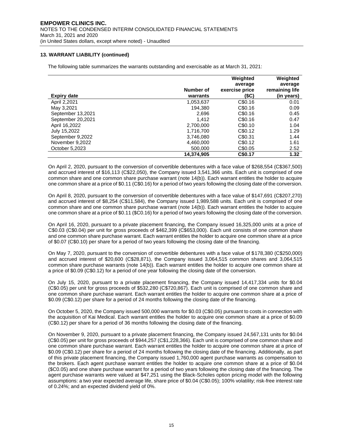# **13. WARRANT LIABILITY (continued)**

The following table summarizes the warrants outstanding and exercisable as at March 31, 2021:

|                    |            | Weighted       | Weighted       |
|--------------------|------------|----------------|----------------|
|                    |            | average        | average        |
|                    | Number of  | exercise price | remaining life |
| <b>Expiry date</b> | warrants   | (SC)           | (in years)     |
| April 2,2021       | 1,053,637  | C\$0.16        | 0.01           |
| May 3,2021         | 194.380    | C\$0.16        | 0.09           |
| September 13,2021  | 2.696      | C\$0.16        | 0.45           |
| September 20,2021  | 1.412      | C\$0.16        | 0.47           |
| April 16,2022      | 2,700,000  | C\$0.10        | 1.04           |
| July 15,2022       | 1.716.700  | C\$0.12        | 1.29           |
| September 9,2022   | 3,746,080  | C\$0.31        | 1.44           |
| November 9,2022    | 4.460.000  | C\$0.12        | 1.61           |
| October 5.2023     | 500,000    | C\$0.05        | 2.52           |
|                    | 14.374.905 | C\$0.17        | 1.32           |

On April 2, 2020, pursuant to the conversion of convertible debentures with a face value of \$268,554 (C\$367,500) and accrued interest of \$16,113 (C\$22,050), the Company issued 3,541,366 units. Each unit is comprised of one common share and one common share purchase warrant (note 14(b)). Each warrant entitles the holder to acquire one common share at a price of \$0.11 (C\$0.16) for a period of two years following the closing date of the conversion.

On April 8, 2020, pursuant to the conversion of convertible debentures with a face value of \$147,691 (C\$207,270) and accrued interest of \$8,254 (C\$11,584), the Company issued 1,989,588 units. Each unit is comprised of one common share and one common share purchase warrant (note 14(b)). Each warrant entitles the holder to acquire one common share at a price of \$0.11 (\$C0.16) for a period of two years following the closing date of the conversion.

On April 16, 2020, pursuant to a private placement financing, the Company issued 16,325,000 units at a price of C\$0.03 (C\$0.04) per unit for gross proceeds of \$462,399 (C\$653,000). Each unit consists of one common share and one common share purchase warrant. Each warrant entitles the holder to acquire one common share at a price of \$0.07 (C\$0.10) per share for a period of two years following the closing date of the financing.

On May 7, 2020, pursuant to the conversion of convertible debentures with a face value of \$178,380 (C\$250,000) and accrued interest of \$20,600 (C\$28,871), the Company issued 3,064,515 common shares and 3,064,515 common share purchase warrants (note 14(b)). Each warrant entitles the holder to acquire one common share at a price of \$0.09 (C\$0.12) for a period of one year following the closing date of the conversion.

On July 15, 2020, pursuant to a private placement financing, the Company issued 14,417,334 units for \$0.04 (C\$0.05) per unit for gross proceeds of \$532,280 (C\$720,867). Each unit is comprised of one common share and one common share purchase warrant. Each warrant entitles the holder to acquire one common share at a price of \$0.09 (C\$0.12) per share for a period of 24 months following the closing date of the financing.

On October 5, 2020, the Company issued 500,000 warrants for \$0.03 (C\$0.05) pursuant to costs in connection with the acquisition of Kai Medical. Each warrant entitles the holder to acquire one common share at a price of \$0.09 (C\$0.12) per share for a period of 36 months following the closing date of the financing.

On November 9, 2020, pursuant to a private placement financing, the Company issued 24,567,131 units for \$0.04 (C\$0.05) per unit for gross proceeds of \$944,257 (C\$1,228,366). Each unit is comprised of one common share and one common share purchase warrant. Each warrant entitles the holder to acquire one common share at a price of \$0.09 (C\$0.12) per share for a period of 24 months following the closing date of the financing. Additionally, as part of this private placement financing, the Company issued 1,760,000 agent purchase warrants as compensation to the brokers. Each agent purchase warrant entitles the holder to acquire one common share at a price of \$0.04 (\$C0.05) and one share purchase warrant for a period of two years following the closing date of the financing. The agent purchase warrants were valued at \$47,251 using the Black-Scholes option pricing model with the following assumptions: a two year expected average life, share price of \$0.04 (C\$0.05); 100% volatility; risk-free interest rate of 0.24%; and an expected dividend yield of 0%.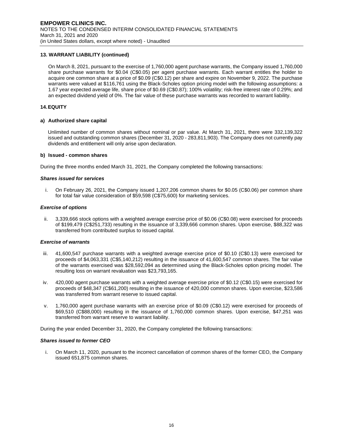# **13. WARRANT LIABILITY (continued)**

On March 8, 2021, pursuant to the exercise of 1,760,000 agent purchase warrants, the Company issued 1,760,000 share purchase warrants for \$0.04 (C\$0.05) per agent purchase warrants. Each warrant entitles the holder to acquire one common share at a price of \$0.09 (C\$0.12) per share and expire on November 9, 2022. The purchase warrants were valued at \$116,761 using the Black-Scholes option pricing model with the following assumptions: a 1.67 year expected average life, share price of \$0.69 (C\$0.87); 100% volatility; risk-free interest rate of 0.29%; and an expected dividend yield of 0%. The fair value of these purchase warrants was recorded to warrant liability.

#### **14.EQUITY**

#### **a) Authorized share capital**

Unlimited number of common shares without nominal or par value. At March 31, 2021, there were 332,139,322 issued and outstanding common shares (December 31, 2020 - 283,811,903). The Company does not currently pay dividends and entitlement will only arise upon declaration.

#### **b) Issued - common shares**

During the three months ended March 31, 2021, the Company completed the following transactions:

#### *Shares issued for services*

i. On February 26, 2021, the Company issued 1,207,206 common shares for \$0.05 (C\$0.06) per common share for total fair value consideration of \$59,598 (C\$75,600) for marketing services.

#### *Exercise of options*

ii. 3,339,666 stock options with a weighted average exercise price of \$0.06 (C\$0.08) were exercised for proceeds of \$199,479 (C\$251,733) resulting in the issuance of 3,339,666 common shares. Upon exercise, \$88,322 was transferred from contributed surplus to issued capital.

#### *Exercise of warrants*

- iii. 41,600,547 purchase warrants with a weighted average exercise price of \$0.10 (C\$0.13) were exercised for proceeds of \$4,063,331 (C\$5,140,212) resulting in the issuance of 41,600,547 common shares. The fair value of the warrants exercised was \$28,592,094 as determined using the Black-Scholes option pricing model. The resulting loss on warrant revaluation was \$23,793,165.
- iv. 420,000 agent purchase warrants with a weighted average exercise price of \$0.12 (C\$0.15) were exercised for proceeds of \$48,347 (C\$61,200) resulting in the issuance of 420,000 common shares. Upon exercise, \$23,586 was transferred from warrant reserve to issued capital.
- v. 1,760,000 agent purchase warrants with an exercise price of \$0.09 (C\$0.12) were exercised for proceeds of \$69,510 (C\$88,000) resulting in the issuance of 1,760,000 common shares. Upon exercise, \$47,251 was transferred from warrant reserve to warrant liability.

During the year ended December 31, 2020, the Company completed the following transactions:

#### *Shares issued to former CEO*

i. On March 11, 2020, pursuant to the incorrect cancellation of common shares of the former CEO, the Company issued 651,875 common shares.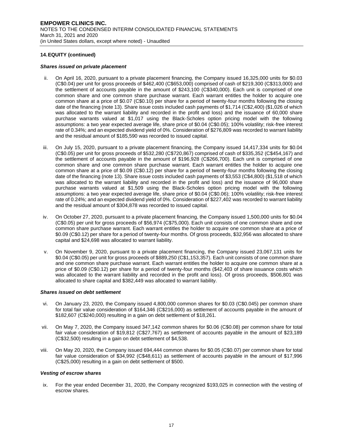#### *Shares issued on private placement*

- ii. On April 16, 2020, pursuant to a private placement financing, the Company issued 16,325,000 units for \$0.03 (C\$0.04) per unit for gross proceeds of \$462,400 (C\$653,000) comprised of cash of \$219,300 (C\$313,000) and the settlement of accounts payable in the amount of \$243,100 (C\$340,000). Each unit is comprised of one common share and one common share purchase warrant. Each warrant entitles the holder to acquire one common share at a price of \$0.07 (C\$0.10) per share for a period of twenty-four months following the closing date of the financing (note 13). Share issue costs included cash payments of \$1,714 (C\$2,400) (\$1,026 of which was allocated to the warrant liability and recorded in the profit and loss) and the issuance of 60,000 share purchase warrants valued at \$1,017 using the Black-Scholes option pricing model with the following assumptions: a two year expected average life, share price of \$0.04 (C\$0.05); 100% volatility; risk-free interest rate of 0.34%; and an expected dividend yield of 0%. Consideration of \$276,809 was recorded to warrant liability and the residual amount of \$185,590 was recorded to issued capital.
- iii. On July 15, 2020, pursuant to a private placement financing, the Company issued 14,417,334 units for \$0.04 (C\$0.05) per unit for gross proceeds of \$532,280 (C\$720,867) comprised of cash of \$335,352 (C\$454,167) and the settlement of accounts payable in the amount of \$196,928 (C\$266,700). Each unit is comprised of one common share and one common share purchase warrant. Each warrant entitles the holder to acquire one common share at a price of \$0.09 (C\$0.12) per share for a period of twenty-four months following the closing date of the financing (note 13). Share issue costs included cash payments of \$3,553 (C\$4,800) (\$1,518 of which was allocated to the warrant liability and recorded in the profit and loss) and the issuance of 96,000 share purchase warrants valued at \$1,509 using the Black-Scholes option pricing model with the following assumptions: a two year expected average life, share price of \$0.04 (C\$0.06); 100% volatility; risk-free interest rate of 0.24%; and an expected dividend yield of 0%. Consideration of \$227,402 was recorded to warrant liability and the residual amount of \$304,878 was recorded to issued capital.
- iv. On October 27, 2020, pursuant to a private placement financing, the Company issued 1,500,000 units for \$0.04 (C\$0.05) per unit for gross proceeds of \$56,974 (C\$75,000). Each unit consists of one common share and one common share purchase warrant. Each warrant entitles the holder to acquire one common share at a price of \$0.09 (C\$0.12) per share for a period of twenty-four months. Of gross proceeds, \$32,956 was allocated to share capital and \$24,698 was allocated to warrant liability.
- v. On November 9, 2020, pursuant to a private placement financing, the Company issued 23,067,131 units for \$0.04 (C\$0.05) per unit for gross proceeds of \$889,250 (C\$1,153,357). Each unit consists of one common share and one common share purchase warrant. Each warrant entitles the holder to acquire one common share at a price of \$0.09 (C\$0.12) per share for a period of twenty-four months (\$42,403 of share issuance costs which was allocated to the warrant liability and recorded in the profit and loss). Of gross proceeds, \$506,801 was allocated to share capital and \$382,449 was allocated to warrant liability.

# *Shares issued on debt settlement*

- vi. On January 23, 2020, the Company issued 4,800,000 common shares for \$0.03 (C\$0.045) per common share for total fair value consideration of \$164,346 (C\$216,000) as settlement of accounts payable in the amount of \$182,607 (C\$240,000) resulting in a gain on debt settlement of \$18,261.
- vii. On May 7, 2020, the Company issued 347,142 common shares for \$0.06 (C\$0.08) per common share for total fair value consideration of \$19,812 (C\$27,767) as settlement of accounts payable in the amount of \$23,189 (C\$32,500) resulting in a gain on debt settlement of \$4,538.
- viii. On May 20, 2020, the Company issued 694,444 common shares for \$0.05 (C\$0.07) per common share for total fair value consideration of \$34,992 (C\$48,611) as settlement of accounts payable in the amount of \$17,996 (C\$25,000) resulting in a gain on debt settlement of \$500.

#### *Vesting of escrow shares*

ix. For the year ended December 31, 2020, the Company recognized \$193,025 in connection with the vesting of escrow shares.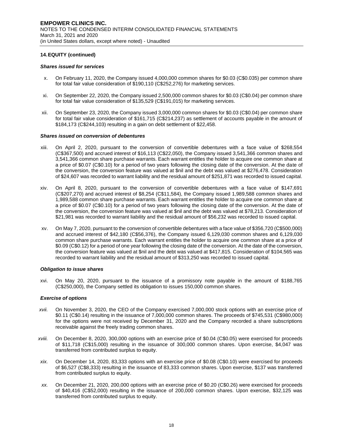#### *Shares issued for services*

- x. On February 11, 2020, the Company issued 4,000,000 common shares for \$0.03 (C\$0.035) per common share for total fair value consideration of \$190,110 (C\$252,276) for marketing services.
- xi. On September 22, 2020, the Company issued 2,500,000 common shares for \$0.03 (C\$0.04) per common share for total fair value consideration of \$135,529 (C\$191,015) for marketing services.
- xii. On September 23, 2020, the Company issued 3,000,000 common shares for \$0.03 (C\$0.04) per common share for total fair value consideration of \$161,715 (C\$214,237) as settlement of accounts payable in the amount of \$184,173 (C\$244,103) resulting in a gain on debt settlement of \$22,458.

#### *Shares issued on conversion of debentures*

- xiii. On April 2, 2020, pursuant to the conversion of convertible debentures with a face value of \$268,554 (C\$367,500) and accrued interest of \$16,113 (C\$22,050), the Company issued 3,541,366 common shares and 3,541,366 common share purchase warrants. Each warrant entitles the holder to acquire one common share at a price of \$0.07 (C\$0.10) for a period of two years following the closing date of the conversion. At the date of the conversion, the conversion feature was valued at \$nil and the debt was valued at \$276,478. Consideration of \$24,607 was recorded to warrant liability and the residual amount of \$251,871 was recorded to issued capital.
- xiv. On April 8, 2020, pursuant to the conversion of convertible debentures with a face value of \$147,691 (C\$207,270) and accrued interest of \$8,254 (C\$11,584), the Company issued 1,989,588 common shares and 1,989,588 common share purchase warrants. Each warrant entitles the holder to acquire one common share at a price of \$0.07 (C\$0.10) for a period of two years following the closing date of the conversion. At the date of the conversion, the conversion feature was valued at \$nil and the debt was valued at \$78,213. Consideration of \$21,981 was recorded to warrant liability and the residual amount of \$56,232 was recorded to issued capital.
- xv. On May 7, 2020, pursuant to the conversion of convertible debentures with a face value of \$356,720 (C\$500,000) and accrued interest of \$42,180 (C\$56,376), the Company issued 6,129,030 common shares and 6,129,030 common share purchase warrants. Each warrant entitles the holder to acquire one common share at a price of \$0.09 (C\$0.12) for a period of one year following the closing date of the conversion. At the date of the conversion, the conversion feature was valued at \$nil and the debt was valued at \$417,815. Consideration of \$104,565 was recorded to warrant liability and the residual amount of \$313,250 was recorded to issued capital.

#### *Obligation to issue shares*

xvi. On May 20, 2020, pursuant to the issuance of a promissory note payable in the amount of \$188,765 (C\$250,000), the Company settled its obligation to issues 150,000 common shares.

#### *Exercise of options*

- *xvii.* On November 3, 2020, the CEO of the Company exercised 7,000,000 stock options with an exercise price of \$0.11 (C\$0.14) resulting in the issuance of 7,000,000 common shares. The proceeds of \$745,531 (C\$980,000) for the options were not received by December 31, 2020 and the Company recorded a share subscriptions receivable against the freely trading common shares.
- *xviii.* On December 8, 2020, 300,000 options with an exercise price of \$0.04 (C\$0.05) were exercised for proceeds of \$11,718 (C\$15,000) resulting in the issuance of 300,000 common shares. Upon exercise, \$4,047 was transferred from contributed surplus to equity.
- *xix.* On December 14, 2020, 83,333 options with an exercise price of \$0.08 (C\$0.10) were exercised for proceeds of \$6,527 (C\$8,333) resulting in the issuance of 83,333 common shares. Upon exercise, \$137 was transferred from contributed surplus to equity.
- *xx.* On December 21, 2020, 200,000 options with an exercise price of \$0.20 (C\$0.26) were exercised for proceeds of \$40,416 (C\$52,000) resulting in the issuance of 200,000 common shares. Upon exercise, \$32,125 was transferred from contributed surplus to equity.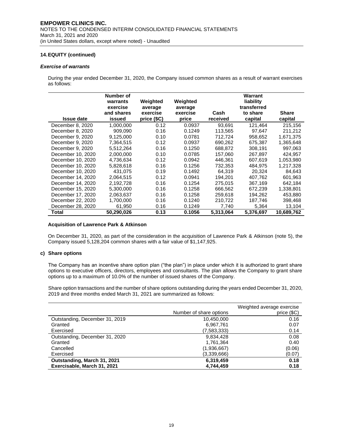#### *Exercise of warrants*

During the year ended December 31, 2020, the Company issued common shares as a result of warrant exercises as follows:

|                   | Number of<br>warrants<br>exercise<br>and shares | Weighted<br>average<br>exercise | Weighted<br>average<br>exercise | Cash      | Warrant<br>liability<br>transferred<br>to share | <b>Share</b> |
|-------------------|-------------------------------------------------|---------------------------------|---------------------------------|-----------|-------------------------------------------------|--------------|
| <b>Issue date</b> | issued                                          | price (\$C)                     | price                           | received  | capital                                         | capital      |
| December 8, 2020  | 1.000.000                                       | 0.12                            | 0.0937                          | 93,691    | 121.464                                         | 215,156      |
| December 8, 2020  | 909,090                                         | 0.16                            | 0.1249                          | 113,565   | 97,647                                          | 211,212      |
| December 9, 2020  | 9,125,000                                       | 0.10                            | 0.0781                          | 712,724   | 958,652                                         | 1,671,375    |
| December 9, 2020  | 7,364,515                                       | 0.12                            | 0.0937                          | 690,262   | 675,387                                         | 1,365,648    |
| December 9, 2020  | 5,512,264                                       | 0.16                            | 0.1250                          | 688,872   | 308,191                                         | 997,063      |
| December 10, 2020 | 2,000,000                                       | 0.10                            | 0.0785                          | 157,060   | 267,897                                         | 424,957      |
| December 10, 2020 | 4,736,634                                       | 0.12                            | 0.0942                          | 446,361   | 607,619                                         | 1,053,980    |
| December 10, 2020 | 5.828.618                                       | 0.16                            | 0.1256                          | 732.353   | 484.975                                         | 1.217.328    |
| December 10, 2020 | 431,075                                         | 0.19                            | 0.1492                          | 64,319    | 20,324                                          | 84,643       |
| December 14, 2020 | 2.064.515                                       | 0.12                            | 0.0941                          | 194.201   | 407.762                                         | 601.963      |
| December 14, 2020 | 2,192,728                                       | 0.16                            | 0.1254                          | 275,015   | 367,169                                         | 642,184      |
| December 15, 2020 | 5.300.000                                       | 0.16                            | 0.1258                          | 666.562   | 672,239                                         | 1,338,801    |
| December 17, 2020 | 2,063,637                                       | 0.16                            | 0.1258                          | 259,618   | 194,262                                         | 453,880      |
| December 22, 2020 | 1,700,000                                       | 0.16                            | 0.1240                          | 210,722   | 187,746                                         | 398,468      |
| December 28, 2020 | 61,950                                          | 0.16                            | 0.1249                          | 7,740     | 5,364                                           | 13,104       |
| Total             | 50,290,026                                      | 0.13                            | 0.1056                          | 5,313,064 | 5,376,697                                       | 10,689,762   |

#### **Acquisition of Lawrence Park & Atkinson**

On December 31, 2020, as part of the consideration in the acquisition of Lawrence Park & Atkinson (note 5), the Company issued 5,128,204 common shares with a fair value of \$1,147,925.

# **c) Share options**

The Company has an incentive share option plan ("the plan") in place under which it is authorized to grant share options to executive officers, directors, employees and consultants. The plan allows the Company to grant share options up to a maximum of 10.0% of the number of issued shares of the Company.

Share option transactions and the number of share options outstanding during the years ended December 31, 2020, 2019 and three months ended March 31, 2021 are summarized as follows:

|                                | Number of share options | Weighted average exercise<br>price (\$C) |
|--------------------------------|-------------------------|------------------------------------------|
| Outstanding, December 31, 2019 | 10,450,000              | 0.16                                     |
| Granted                        | 6,967,761               | 0.07                                     |
| Exercised                      | (7,583,333)             | 0.14                                     |
| Outstanding, December 31, 2020 | 9,834,428               | 0.08                                     |
| Granted                        | 1,761,364               | 0.40                                     |
| Cancelled                      | (1,936,667)             | (0.06)                                   |
| Exercised                      | (3,339,666)             | (0.07)                                   |
| Outstanding, March 31, 2021    | 6,319,459               | 0.18                                     |
| Exercisable, March 31, 2021    | 4,744,459               | 0.18                                     |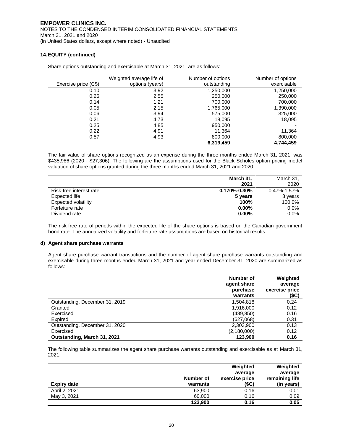|                      | Weighted average life of | Number of options | Number of options |
|----------------------|--------------------------|-------------------|-------------------|
| Exercise price (C\$) | options (years)          | outstanding       | exercisable       |
| 0.10                 | 3.92                     | 1,250,000         | 1,250,000         |
| 0.26                 | 2.55                     | 250,000           | 250,000           |
| 0.14                 | 1.21                     | 700,000           | 700,000           |
| 0.05                 | 2.15                     | 1,765,000         | 1,390,000         |
| 0.06                 | 3.94                     | 575,000           | 325,000           |
| 0.21                 | 4.73                     | 18,095            | 18,095            |
| 0.25                 | 4.85                     | 950,000           |                   |
| 0.22                 | 4.91                     | 11.364            | 11,364            |
| 0.57                 | 4.93                     | 800,000           | 800,000           |
|                      |                          | 6,319,459         | 4.744.459         |

Share options outstanding and exercisable at March 31, 2021, are as follows:

The fair value of share options recognized as an expense during the three months ended March 31, 2021, was \$435,986 (2020 - \$27,306). The following are the assumptions used for the Black Scholes option pricing model valuation of share options granted during the three months ended March 31, 2021 and 2020:

|                         | March 31,          | March 31,         |
|-------------------------|--------------------|-------------------|
|                         | 2021               | 2020              |
| Risk-free interest rate | $0.170\% - 0.30\%$ | $0.47\% - 1.57\%$ |
| Expected life           | 5 years            | 3 years           |
| Expected volatility     | 100%               | 100.0%            |
| Forfeiture rate         | $0.00\%$           | $0.0\%$           |
| Dividend rate           | $0.00\%$           | $0.0\%$           |

The risk-free rate of periods within the expected life of the share options is based on the Canadian government bond rate. The annualized volatility and forfeiture rate assumptions are based on historical results.

# **d) Agent share purchase warrants**

Agent share purchase warrant transactions and the number of agent share purchase warrants outstanding and exercisable during three months ended March 31, 2021 and year ended December 31, 2020 are summarized as follows:

|                                | Number of<br>agent share<br>purchase<br>warrants | Weighted<br>average<br>exercise price<br>(\$C) |
|--------------------------------|--------------------------------------------------|------------------------------------------------|
| Outstanding, December 31, 2019 | 1,504,818                                        | 0.24                                           |
| Granted                        | 1.916.000                                        | 0.12                                           |
| Exercised                      | (489, 850)                                       | 0.16                                           |
| Expired                        | (627,068)                                        | 0.31                                           |
| Outstanding, December 31, 2020 | 2,303,900                                        | 0.13                                           |
| Exercised                      | (2,180,000)                                      | 0.12                                           |
| Outstanding, March 31, 2021    | 123.900                                          | 0.16                                           |

The following table summarizes the agent share purchase warrants outstanding and exercisable as at March 31, 2021:

|                    |           | Weighted       | Weighted       |
|--------------------|-----------|----------------|----------------|
|                    |           | average        | average        |
|                    | Number of | exercise price | remaining life |
| <b>Expiry date</b> | warrants  | (\$C)          | (in years)     |
| April 2, 2021      | 63.900    | 0.16           | 0.01           |
| May 3, 2021        | 60,000    | 0.16           | 0.09           |
|                    | 123,900   | 0.16           | 0.05           |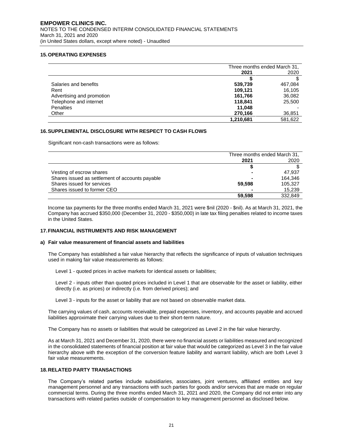# **15.OPERATING EXPENSES**

|                           | Three months ended March 31, |         |
|---------------------------|------------------------------|---------|
|                           | 2021                         | 2020    |
|                           |                              |         |
| Salaries and benefits     | 539.739                      | 467,084 |
| Rent                      | 109,121                      | 16,105  |
| Advertising and promotion | 161.766                      | 36,082  |
| Telephone and internet    | 118.841                      | 25,500  |
| <b>Penalties</b>          | 11.048                       |         |
| Other                     | 270,166                      | 36,851  |
|                           | 1.210.681                    | 581.622 |

#### **16.SUPPLEMENTAL DISCLOSURE WITH RESPECT TO CASH FLOWS**

Significant non-cash transactions were as follows:

|                                                 | Three months ended March 31, |         |
|-------------------------------------------------|------------------------------|---------|
|                                                 | 2021                         | 2020    |
|                                                 |                              |         |
| Vesting of escrow shares                        |                              | 47.937  |
| Shares issued as settlement of accounts payable |                              | 164.346 |
| Shares issued for services                      | 59.598                       | 105,327 |
| Shares issued to former CEO                     |                              | 15,239  |
|                                                 | 59.598                       | 332,849 |

Income tax payments for the three months ended March 31, 2021 were \$nil (2020 - \$nil). As at March 31, 2021, the Company has accrued \$350,000 (December 31, 2020 - \$350,000) in late tax filing penalties related to income taxes in the United States.

#### **17.FINANCIAL INSTRUMENTS AND RISK MANAGEMENT**

#### **a) Fair value measurement of financial assets and liabilities**

The Company has established a fair value hierarchy that reflects the significance of inputs of valuation techniques used in making fair value measurements as follows:

Level 1 - quoted prices in active markets for identical assets or liabilities;

Level 2 - inputs other than quoted prices included in Level 1 that are observable for the asset or liability, either directly (i.e. as prices) or indirectly (i.e. from derived prices); and

Level 3 - inputs for the asset or liability that are not based on observable market data.

The carrying values of cash, accounts receivable, prepaid expenses, inventory, and accounts payable and accrued liabilities approximate their carrying values due to their short-term nature.

The Company has no assets or liabilities that would be categorized as Level 2 in the fair value hierarchy.

As at March 31, 2021 and December 31, 2020, there were no financial assets or liabilities measured and recognized in the consolidated statements of financial position at fair value that would be categorized as Level 3 in the fair value hierarchy above with the exception of the conversion feature liability and warrant liability, which are both Level 3 fair value measurements.

# **18.RELATED PARTY TRANSACTIONS**

The Company's related parties include subsidiaries, associates, joint ventures, affiliated entities and key management personnel and any transactions with such parties for goods and/or services that are made on regular commercial terms. During the three months ended March 31, 2021 and 2020, the Company did not enter into any transactions with related parties outside of compensation to key management personnel as disclosed below.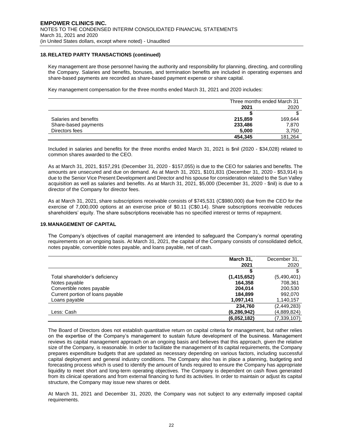# **18.RELATED PARTY TRANSACTIONS (continued)**

Key management are those personnel having the authority and responsibility for planning, directing, and controlling the Company. Salaries and benefits, bonuses, and termination benefits are included in operating expenses and share-based payments are recorded as share-based payment expense or share capital.

Key management compensation for the three months ended March 31, 2021 and 2020 includes:

|                       | Three months ended March 31 |         |
|-----------------------|-----------------------------|---------|
|                       | 2021                        | 2020    |
|                       |                             |         |
| Salaries and benefits | 215,859                     | 169,644 |
| Share-based payments  | 233,486                     | 7,870   |
| Directors fees        | 5.000                       | 3,750   |
|                       | 454.345                     | 181.264 |

Included in salaries and benefits for the three months ended March 31, 2021 is \$nil (2020 - \$34,028) related to common shares awarded to the CEO.

As at March 31, 2021, \$157,291 (December 31, 2020 - \$157,055) is due to the CEO for salaries and benefits. The amounts are unsecured and due on demand. As at March 31, 2021, \$101,831 (December 31, 2020 - \$53,914) is due to the Senior Vice Present Development and Director and his spouse for consideration related to the Sun Valley acquisition as well as salaries and benefits. As at March 31, 2021, \$5,000 (December 31, 2020 - \$nil) is due to a director of the Company for director fees.

As at March 31, 2021, share subscriptions receivable consists of \$745,531 (C\$980,000) due from the CEO for the exercise of 7,000,000 options at an exercise price of \$0.11 (C\$0.14). Share subscriptions receivable reduces shareholders' equity. The share subscriptions receivable has no specified interest or terms of repayment.

#### **19.MANAGEMENT OF CAPITAL**

The Company's objectives of capital management are intended to safeguard the Company's normal operating requirements on an ongoing basis. At March 31, 2021, the capital of the Company consists of consolidated deficit, notes payable, convertible notes payable, and loans payable, net of cash.

|                                  | March 31,     | December 31, |
|----------------------------------|---------------|--------------|
|                                  | 2021          | 2020         |
|                                  |               |              |
| Total shareholder's deficiency   | (1, 415, 652) | (5,490,401)  |
| Notes payable                    | 164.358       | 708,361      |
| Convertible notes payable        | 204.014       | 200,530      |
| Current portion of loans payable | 184.899       | 992,070      |
| Loans payable                    | 1,097,141     | 1,140,157    |
|                                  | 234.760       | (2,449,283)  |
| Less: Cash                       | (6, 286, 942) | (4,889,824)  |
|                                  | (6,052,182)   | (7,339,107)  |

The Board of Directors does not establish quantitative return on capital criteria for management, but rather relies on the expertise of the Company's management to sustain future development of the business. Management reviews its capital management approach on an ongoing basis and believes that this approach, given the relative size of the Company, is reasonable. In order to facilitate the management of its capital requirements, the Company prepares expenditure budgets that are updated as necessary depending on various factors, including successful capital deployment and general industry conditions. The Company also has in place a planning, budgeting and forecasting process which is used to identify the amount of funds required to ensure the Company has appropriate liquidity to meet short and long-term operating objectives. The Company is dependent on cash flows generated from its clinical operations and from external financing to fund its activities. In order to maintain or adjust its capital structure, the Company may issue new shares or debt.

At March 31, 2021 and December 31, 2020, the Company was not subject to any externally imposed capital requirements.